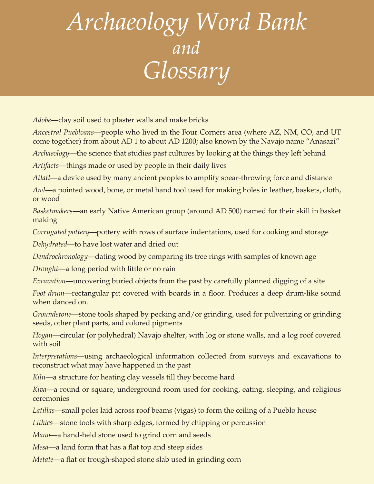## *Archaeology Word Bank and Glossary*

*Adobe*—clay soil used to plaster walls and make bricks

*Ancestral Puebloans*—people who lived in the Four Corners area (where AZ, NM, CO, and UT come together) from about AD 1 to about AD 1200; also known by the Navajo name "Anasazi"

*Archaeology*—the science that studies past cultures by looking at the things they left behind

*Artifacts*—things made or used by people in their daily lives

*Atlatl*—a device used by many ancient peoples to amplify spear-throwing force and distance

*Awl*—a pointed wood, bone, or metal hand tool used for making holes in leather, baskets, cloth, or wood

*Basketmakers*—an early Native American group (around AD 500) named for their skill in basket making

*Corrugated pottery*—pottery with rows of surface indentations, used for cooking and storage

*Dehydrated*—to have lost water and dried out

*Dendrochronology*—dating wood by comparing its tree rings with samples of known age

*Drought*—a long period with little or no rain

*Excavation*—uncovering buried objects from the past by carefully planned digging of a site

*Foot drum*—rectangular pit covered with boards in a floor. Produces a deep drum-like sound when danced on.

*Groundstone*—stone tools shaped by pecking and/or grinding, used for pulverizing or grinding seeds, other plant parts, and colored pigments

*Hogan*—circular (or polyhedral) Navajo shelter, with log or stone walls, and a log roof covered with soil

*Interpretations*—using archaeological information collected from surveys and excavations to reconstruct what may have happened in the past

*Kiln*—a structure for heating clay vessels till they become hard

*Kiva*—a round or square, underground room used for cooking, eating, sleeping, and religious ceremonies

*Latillas*—small poles laid across roof beams (vigas) to form the ceiling of a Pueblo house

*Lithics*—stone tools with sharp edges, formed by chipping or percussion

*Mano*—a hand-held stone used to grind corn and seeds

*Mesa*—a land form that has a flat top and steep sides

*Metate*—a flat or trough-shaped stone slab used in grinding corn